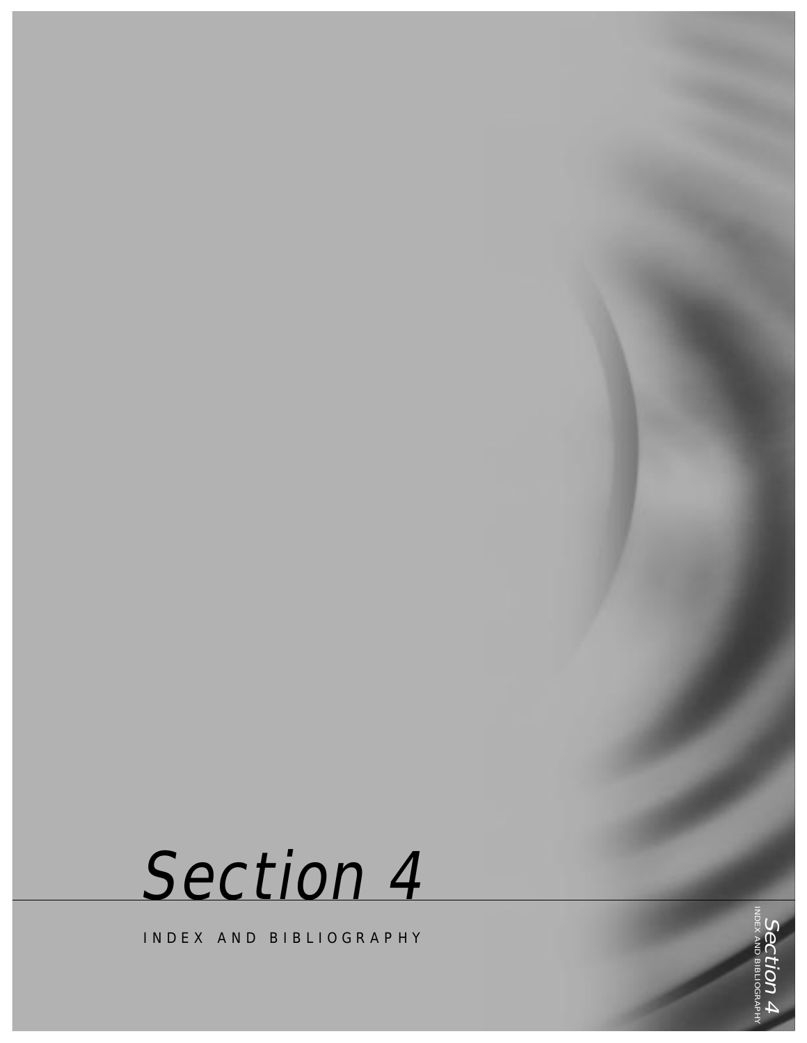

INDEX AND BIBLIOGRAPHY

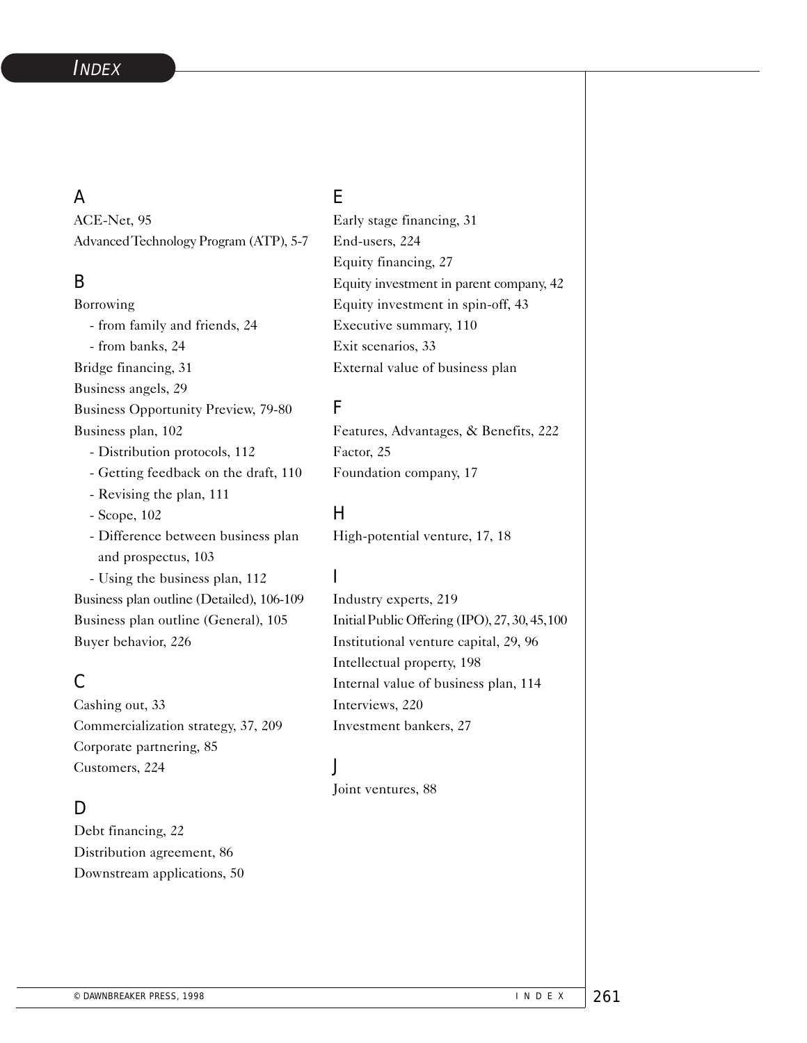### A

ACE-Net, 95 AdvancedTechnology Program (ATP), 5-7

## B

Borrowing - from family and friends, 24 - from banks, 24 Bridge financing, 31 Business angels, 29 Business Opportunity Preview, 79-80 Business plan, 102 - Distribution protocols, 112 - Getting feedback on the draft, 110 - Revising the plan, 111 - Scope, 102 - Difference between business plan and prospectus, 103 - Using the business plan, 112 Business plan outline (Detailed), 106-109 Business plan outline (General), 105 Buyer behavior, 226

# C

Cashing out, 33 Commercialization strategy, 37, 209 Corporate partnering, 85 Customers, 224

## D

Debt financing, 22 Distribution agreement, 86 Downstream applications, 50

### E

Early stage financing, 31 End-users, 224 Equity financing, 27 Equity investment in parent company, 42 Equity investment in spin-off, 43 Executive summary, 110 Exit scenarios, 33 External value of business plan

### F

Features, Advantages, & Benefits, 222 Factor, 25 Foundation company, 17

## H

High-potential venture, 17, 18

# I

Industry experts, 219 Initial Public Offering (IPO), 27, 30, 45,100 Institutional venture capital, 29, 96 Intellectual property, 198 Internal value of business plan, 114 Interviews, 220 Investment bankers, 27

## J

Joint ventures, 88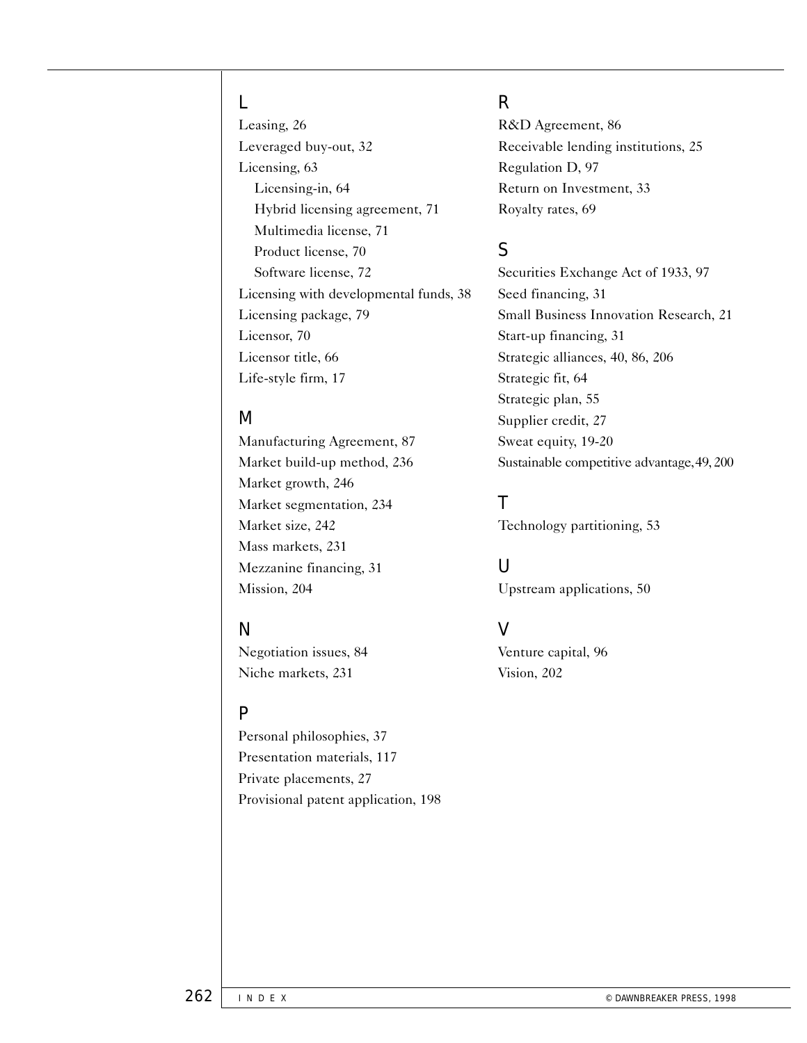#### L

Leasing, 26 Leveraged buy-out, 32 Licensing, 63 Licensing-in, 64 Hybrid licensing agreement, 71 Multimedia license, 71 Product license, 70 Software license, 72 Licensing with developmental funds, 38 Licensing package, 79 Licensor, 70 Licensor title, 66 Life-style firm, 17

#### M

Manufacturing Agreement, 87 Market build-up method, 236 Market growth, 246 Market segmentation, 234 Market size, 242 Mass markets, 231 Mezzanine financing, 31 Mission, 204

## N

Negotiation issues, 84 Niche markets, 231

#### P

Personal philosophies, 37 Presentation materials, 117 Private placements, 27 Provisional patent application, 198

## R

R&D Agreement, 86 Receivable lending institutions, 25 Regulation D, 97 Return on Investment, 33 Royalty rates, 69

# S

Securities Exchange Act of 1933, 97 Seed financing, 31 Small Business Innovation Research, 21 Start-up financing, 31 Strategic alliances, 40, 86, 206 Strategic fit, 64 Strategic plan, 55 Supplier credit, 27 Sweat equity, 19-20 Sustainable competitive advantage,49, 200

T

Technology partitioning, 53

## U

Upstream applications, 50

## V

Venture capital, 96 Vision, 202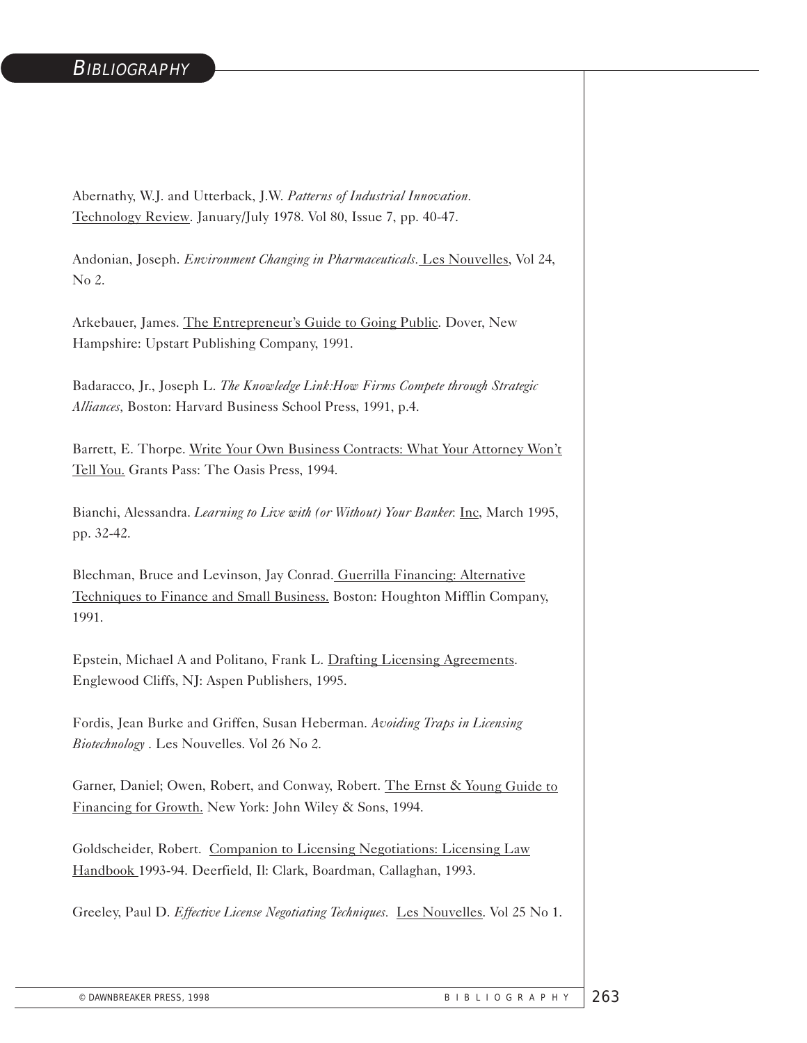#### **BIBLIOGRAPHY**

Abernathy, W.J. and Utterback, J.W. *Patterns of Industrial Innovation.*  Technology Review. January/July 1978. Vol 80, Issue 7, pp. 40-47.

Andonian, Joseph. *Environment Changing in Pharmaceuticals.* Les Nouvelles, Vol 24, No 2.

Arkebauer, James. The Entrepreneur's Guide to Going Public. Dover, New Hampshire: Upstart Publishing Company, 1991.

Badaracco, Jr., Joseph L. *The Knowledge Link:How Firms Compete through Strategic Alliances,* Boston: Harvard Business School Press, 1991, p.4.

Barrett, E. Thorpe. Write Your Own Business Contracts: What Your Attorney Won't Tell You. Grants Pass: The Oasis Press, 1994.

Bianchi, Alessandra. *Learning to Live with (or Without) Your Banker.* Inc, March 1995, pp. 32-42.

Blechman, Bruce and Levinson, Jay Conrad. Guerrilla Financing: Alternative Techniques to Finance and Small Business. Boston: Houghton Mifflin Company, 1991.

Epstein, Michael A and Politano, Frank L. Drafting Licensing Agreements. Englewood Cliffs, NJ: Aspen Publishers, 1995.

Fordis, Jean Burke and Griffen, Susan Heberman. *Avoiding Traps in Licensing Biotechnology* . Les Nouvelles. Vol 26 No 2.

Garner, Daniel; Owen, Robert, and Conway, Robert. The Ernst & Young Guide to Financing for Growth. New York: John Wiley & Sons, 1994.

Goldscheider, Robert. Companion to Licensing Negotiations: Licensing Law Handbook 1993-94. Deerfield, Il: Clark, Boardman, Callaghan, 1993.

Greeley, Paul D. *Effective License Negotiating Techniques.* Les Nouvelles. Vol 25 No 1.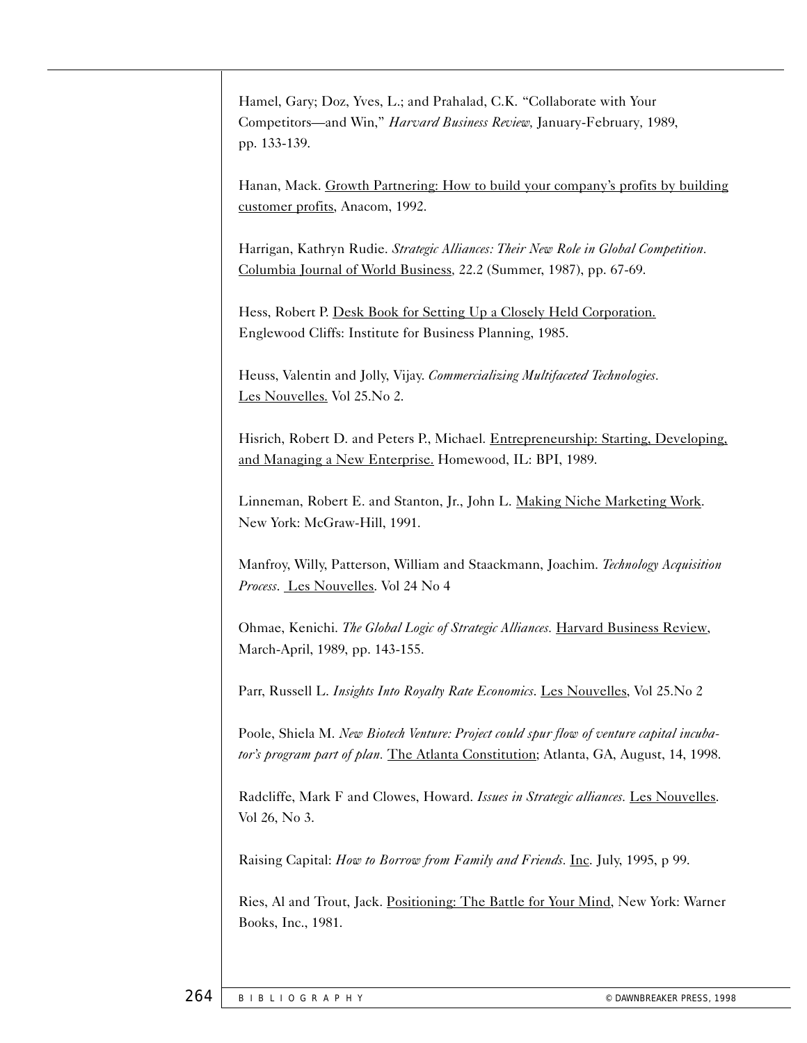Hamel, Gary; Doz, Yves, L.; and Prahalad, C.K. "Collaborate with Your Competitors—and Win," *Harvard Business Review,* January-February*,* 1989, pp. 133-139.

Hanan, Mack. Growth Partnering: How to build your company's profits by building customer profits, Anacom, 1992.

Harrigan, Kathryn Rudie. *Strategic Alliances: Their New Role in Global Competition.*  Columbia Journal of World Business*,* 22.2 (Summer, 1987), pp. 67-69.

Hess, Robert P. Desk Book for Setting Up a Closely Held Corporation. Englewood Cliffs: Institute for Business Planning, 1985.

Heuss, Valentin and Jolly, Vijay. *Commercializing Multifaceted Technologies.*  Les Nouvelles. Vol 25.No 2.

Hisrich, Robert D. and Peters P., Michael. Entrepreneurship: Starting, Developing, and Managing a New Enterprise. Homewood, IL: BPI, 1989.

Linneman, Robert E. and Stanton, Jr., John L. Making Niche Marketing Work. New York: McGraw-Hill, 1991.

Manfroy, Willy, Patterson, William and Staackmann, Joachim. *Technology Acquisition Process*. Les Nouvelles. Vol 24 No 4

Ohmae, Kenichi. *The Global Logic of Strategic Alliances.* Harvard Business Review, March-April, 1989, pp. 143-155.

Parr, Russell L. *Insights Into Royalty Rate Economics*. Les Nouvelles, Vol 25.No 2

Poole, Shiela M. *New Biotech Venture: Project could spur flow of venture capital incubator's program part of plan.* The Atlanta Constitution; Atlanta, GA, August, 14, 1998.

Radcliffe, Mark F and Clowes, Howard. *Issues in Strategic alliances.* Les Nouvelles. Vol 26, No 3.

Raising Capital: *How to Borrow from Family and Friends.* Inc. July, 1995, p 99.

Ries, Al and Trout, Jack. Positioning: The Battle for Your Mind, New York: Warner Books, Inc., 1981.